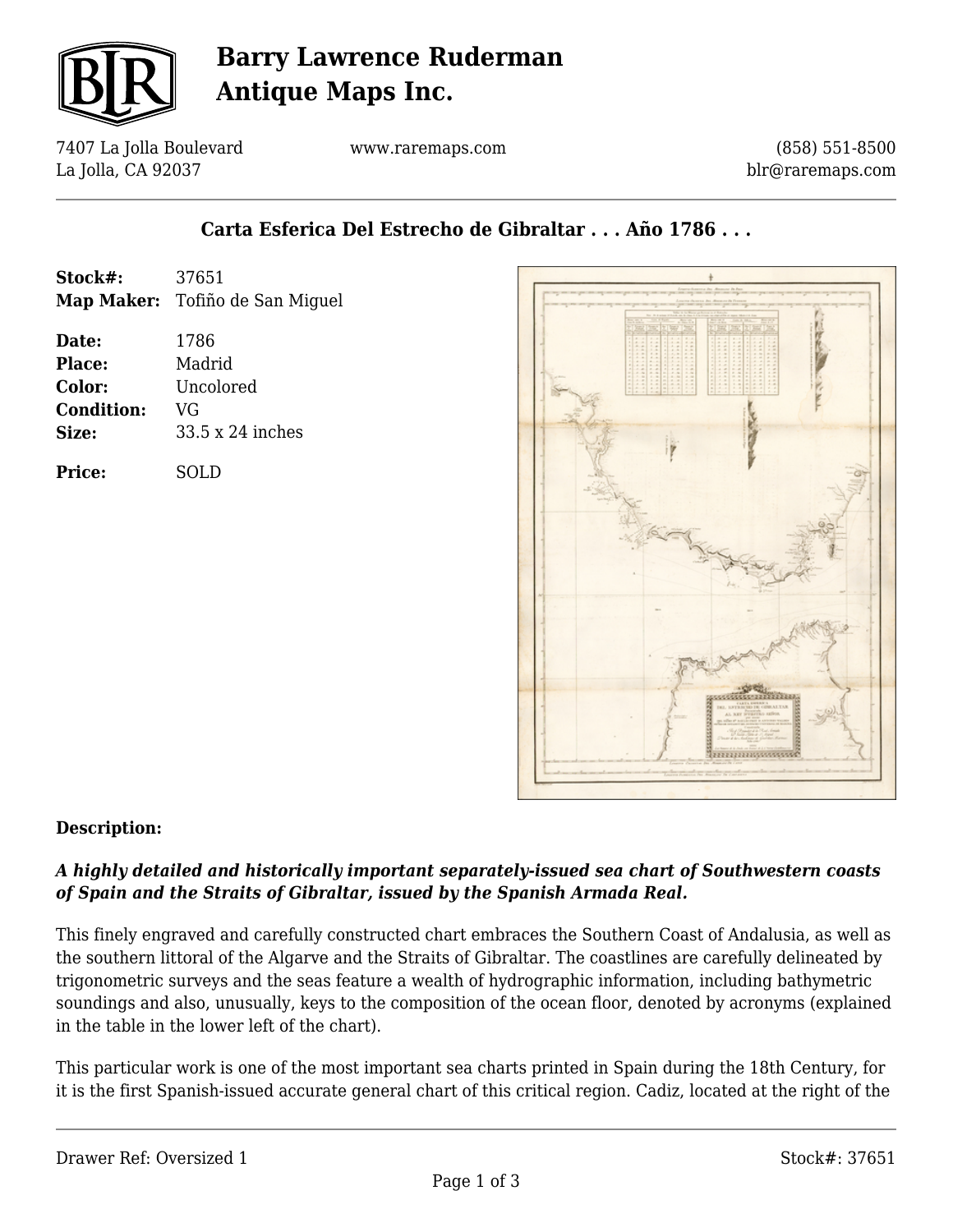

## **Barry Lawrence Ruderman Antique Maps Inc.**

7407 La Jolla Boulevard La Jolla, CA 92037

www.raremaps.com

(858) 551-8500 blr@raremaps.com

### **Carta Esferica Del Estrecho de Gibraltar . . . Año 1786 . . .**

| Stock#:           | 37651                           |
|-------------------|---------------------------------|
|                   | Map Maker: Tofiño de San Miguel |
| Date:             | 1786                            |
| Place:            | Madrid                          |
| Color:            | Uncolored                       |
| <b>Condition:</b> | VG                              |
| Size:             | 33.5 x 24 inches                |
| <b>Price:</b>     | SOLD                            |



#### **Description:**

#### *A highly detailed and historically important separately-issued sea chart of Southwestern coasts of Spain and the Straits of Gibraltar, issued by the Spanish Armada Real.*

This finely engraved and carefully constructed chart embraces the Southern Coast of Andalusia, as well as the southern littoral of the Algarve and the Straits of Gibraltar. The coastlines are carefully delineated by trigonometric surveys and the seas feature a wealth of hydrographic information, including bathymetric soundings and also, unusually, keys to the composition of the ocean floor, denoted by acronyms (explained in the table in the lower left of the chart).

This particular work is one of the most important sea charts printed in Spain during the 18th Century, for it is the first Spanish-issued accurate general chart of this critical region. Cadiz, located at the right of the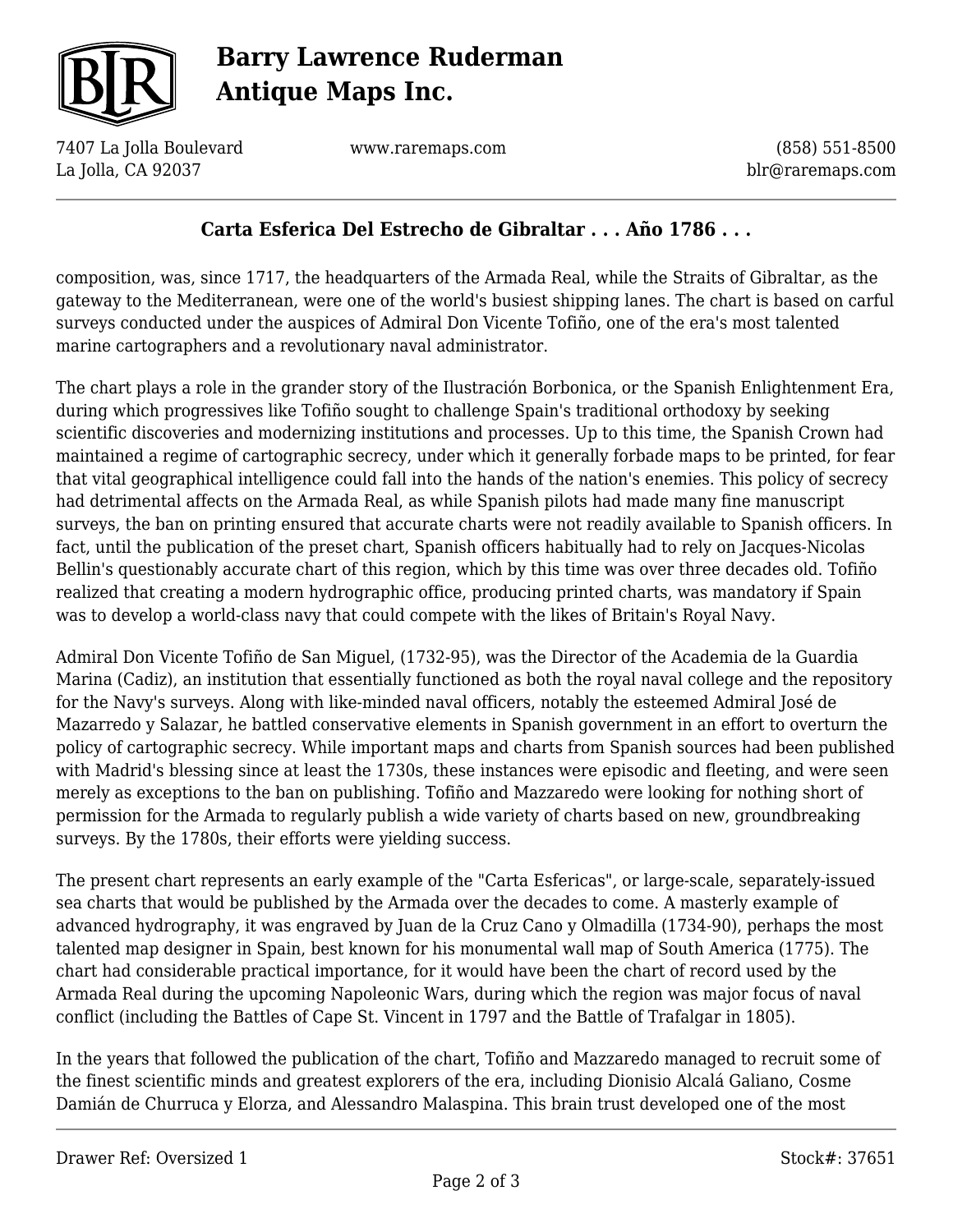

# **Barry Lawrence Ruderman Antique Maps Inc.**

7407 La Jolla Boulevard La Jolla, CA 92037

www.raremaps.com

(858) 551-8500 blr@raremaps.com

### **Carta Esferica Del Estrecho de Gibraltar . . . Año 1786 . . .**

composition, was, since 1717, the headquarters of the Armada Real, while the Straits of Gibraltar, as the gateway to the Mediterranean, were one of the world's busiest shipping lanes. The chart is based on carful surveys conducted under the auspices of Admiral Don Vicente Tofiño, one of the era's most talented marine cartographers and a revolutionary naval administrator.

The chart plays a role in the grander story of the Ilustración Borbonica, or the Spanish Enlightenment Era, during which progressives like Tofiño sought to challenge Spain's traditional orthodoxy by seeking scientific discoveries and modernizing institutions and processes. Up to this time, the Spanish Crown had maintained a regime of cartographic secrecy, under which it generally forbade maps to be printed, for fear that vital geographical intelligence could fall into the hands of the nation's enemies. This policy of secrecy had detrimental affects on the Armada Real, as while Spanish pilots had made many fine manuscript surveys, the ban on printing ensured that accurate charts were not readily available to Spanish officers. In fact, until the publication of the preset chart, Spanish officers habitually had to rely on Jacques-Nicolas Bellin's questionably accurate chart of this region, which by this time was over three decades old. Tofiño realized that creating a modern hydrographic office, producing printed charts, was mandatory if Spain was to develop a world-class navy that could compete with the likes of Britain's Royal Navy.

Admiral Don Vicente Tofiño de San Miguel, (1732-95), was the Director of the Academia de la Guardia Marina (Cadiz), an institution that essentially functioned as both the royal naval college and the repository for the Navy's surveys. Along with like-minded naval officers, notably the esteemed Admiral José de Mazarredo y Salazar, he battled conservative elements in Spanish government in an effort to overturn the policy of cartographic secrecy. While important maps and charts from Spanish sources had been published with Madrid's blessing since at least the 1730s, these instances were episodic and fleeting, and were seen merely as exceptions to the ban on publishing. Tofiño and Mazzaredo were looking for nothing short of permission for the Armada to regularly publish a wide variety of charts based on new, groundbreaking surveys. By the 1780s, their efforts were yielding success.

The present chart represents an early example of the "Carta Esfericas", or large-scale, separately-issued sea charts that would be published by the Armada over the decades to come. A masterly example of advanced hydrography, it was engraved by Juan de la Cruz Cano y Olmadilla (1734-90), perhaps the most talented map designer in Spain, best known for his monumental wall map of South America (1775). The chart had considerable practical importance, for it would have been the chart of record used by the Armada Real during the upcoming Napoleonic Wars, during which the region was major focus of naval conflict (including the Battles of Cape St. Vincent in 1797 and the Battle of Trafalgar in 1805).

In the years that followed the publication of the chart, Tofiño and Mazzaredo managed to recruit some of the finest scientific minds and greatest explorers of the era, including Dionisio Alcalá Galiano, Cosme Damián de Churruca y Elorza, and Alessandro Malaspina. This brain trust developed one of the most